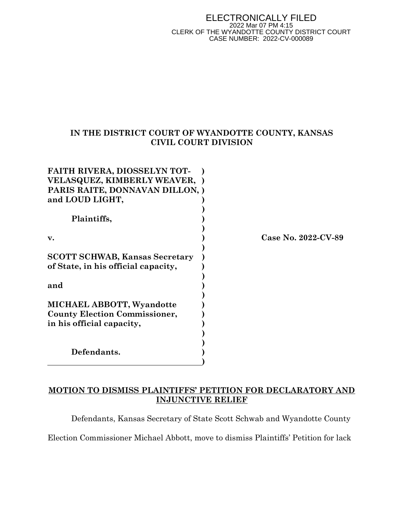#### ELECTRONICALLY FILED 2022 Mar 07 PM 4:15 CLERK OF THE WYANDOTTE COUNTY DISTRICT COURT CASE NUMBER: 2022-CV-000089

## IN THE DISTRICT COURT OF WYANDOTTE COUNTY, KANSAS CIVIL COURT DIVISION

| <b>FAITH RIVERA, DIOSSELYN TOT-</b>   |                     |
|---------------------------------------|---------------------|
| <b>VELASQUEZ, KIMBERLY WEAVER, )</b>  |                     |
| PARIS RAITE, DONNAVAN DILLON, )       |                     |
| and LOUD LIGHT,                       |                     |
|                                       |                     |
| Plaintiffs,                           |                     |
| v.                                    | Case No. 2022-CV-89 |
|                                       |                     |
| <b>SCOTT SCHWAB, Kansas Secretary</b> |                     |
| of State, in his official capacity,   |                     |
|                                       |                     |
| and                                   |                     |
|                                       |                     |
| <b>MICHAEL ABBOTT, Wyandotte</b>      |                     |
| <b>County Election Commissioner,</b>  |                     |
| in his official capacity,             |                     |
|                                       |                     |
|                                       |                     |
| Defendants.                           |                     |
|                                       |                     |

# MOTION TO DISMISS PLAINTIFFS' PETITION FOR DECLARATORY AND INJUNCTIVE RELIEF

Defendants, Kansas Secretary of State Scott Schwab and Wyandotte County

Election Commissioner Michael Abbott, move to dismiss Plaintiffs' Petition for lack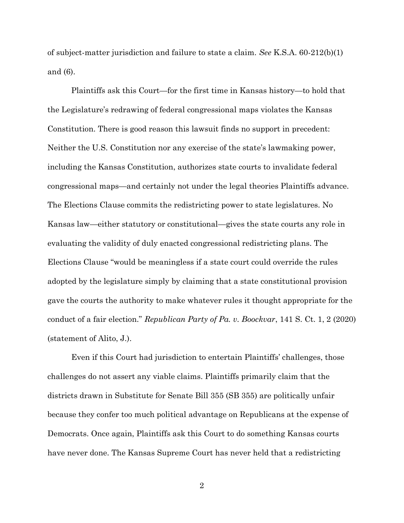of subject-matter jurisdiction and failure to state a claim. See K.S.A. 60-212(b)(1) and (6).

Plaintiffs ask this Court—for the first time in Kansas history—to hold that the Legislature's redrawing of federal congressional maps violates the Kansas Constitution. There is good reason this lawsuit finds no support in precedent: Neither the U.S. Constitution nor any exercise of the state's lawmaking power, including the Kansas Constitution, authorizes state courts to invalidate federal congressional maps—and certainly not under the legal theories Plaintiffs advance. The Elections Clause commits the redistricting power to state legislatures. No Kansas law—either statutory or constitutional—gives the state courts any role in evaluating the validity of duly enacted congressional redistricting plans. The Elections Clause "would be meaningless if a state court could override the rules adopted by the legislature simply by claiming that a state constitutional provision gave the courts the authority to make whatever rules it thought appropriate for the conduct of a fair election." Republican Party of Pa. v. Boockvar, 141 S. Ct. 1, 2 (2020) (statement of Alito, J.).

Even if this Court had jurisdiction to entertain Plaintiffs' challenges, those challenges do not assert any viable claims. Plaintiffs primarily claim that the districts drawn in Substitute for Senate Bill 355 (SB 355) are politically unfair because they confer too much political advantage on Republicans at the expense of Democrats. Once again, Plaintiffs ask this Court to do something Kansas courts have never done. The Kansas Supreme Court has never held that a redistricting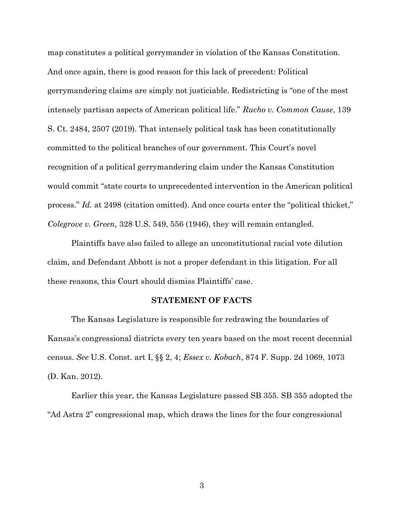map constitutes a political gerrymander in violation of the Kansas Constitution. And once again, there is good reason for this lack of precedent: Political gerrymandering claims are simply not justiciable. Redistricting is "one of the most intensely partisan aspects of American political life." Rucho v. Common Cause, 139 S. Ct. 2484, 2507 (2019). That intensely political task has been constitutionally committed to the political branches of our government. This Court's novel recognition of a political gerrymandering claim under the Kansas Constitution would commit "state courts to unprecedented intervention in the American political process." Id. at 2498 (citation omitted). And once courts enter the "political thicket," Colegrove v. Green, 328 U.S. 549, 556 (1946), they will remain entangled.

Plaintiffs have also failed to allege an unconstitutional racial vote dilution claim, and Defendant Abbott is not a proper defendant in this litigation. For all these reasons, this Court should dismiss Plaintiffs' case.

#### STATEMENT OF FACTS

The Kansas Legislature is responsible for redrawing the boundaries of Kansas's congressional districts every ten years based on the most recent decennial census. See U.S. Const. art I, §§ 2, 4; Essex v. Kobach, 874 F. Supp. 2d 1069, 1073 (D. Kan. 2012).

Earlier this year, the Kansas Legislature passed SB 355. SB 355 adopted the "Ad Astra 2" congressional map, which draws the lines for the four congressional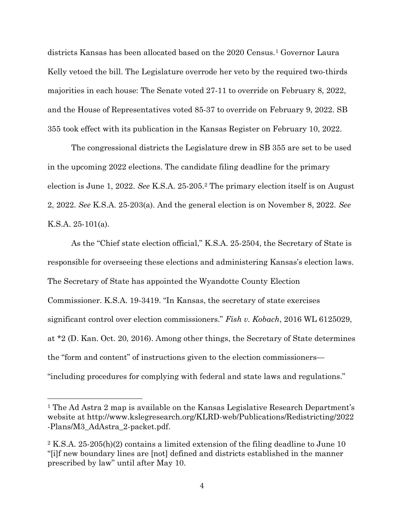districts Kansas has been allocated based on the 2020 Census.1 Governor Laura Kelly vetoed the bill. The Legislature overrode her veto by the required two-thirds majorities in each house: The Senate voted 27-11 to override on February 8, 2022, and the House of Representatives voted 85-37 to override on February 9, 2022. SB 355 took effect with its publication in the Kansas Register on February 10, 2022.

The congressional districts the Legislature drew in SB 355 are set to be used in the upcoming 2022 elections. The candidate filing deadline for the primary election is June 1, 2022. See K.S.A. 25-205.2 The primary election itself is on August 2, 2022. See K.S.A. 25-203(a). And the general election is on November 8, 2022. See K.S.A. 25-101(a).

As the "Chief state election official," K.S.A. 25-2504, the Secretary of State is responsible for overseeing these elections and administering Kansas's election laws. The Secretary of State has appointed the Wyandotte County Election Commissioner. K.S.A. 19-3419. "In Kansas, the secretary of state exercises significant control over election commissioners." Fish v. Kobach, 2016 WL 6125029, at \*2 (D. Kan. Oct. 20, 2016). Among other things, the Secretary of State determines the "form and content" of instructions given to the election commissioners— "including procedures for complying with federal and state laws and regulations."

<sup>1</sup> The Ad Astra 2 map is available on the Kansas Legislative Research Department's website at http://www.kslegresearch.org/KLRD-web/Publications/Redistricting/2022 -Plans/M3\_AdAstra\_2-packet.pdf.

<sup>2</sup> K.S.A. 25-205(h)(2) contains a limited extension of the filing deadline to June 10 "[i]f new boundary lines are [not] defined and districts established in the manner prescribed by law" until after May 10.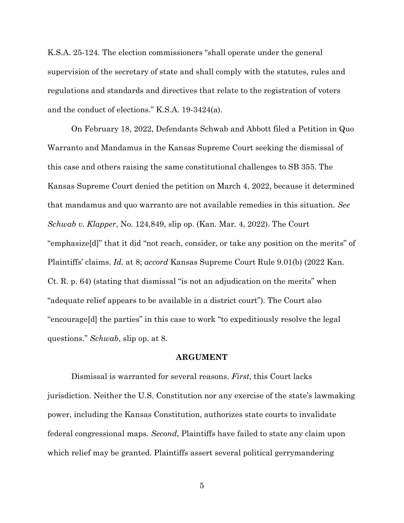K.S.A. 25-124. The election commissioners "shall operate under the general supervision of the secretary of state and shall comply with the statutes, rules and regulations and standards and directives that relate to the registration of voters and the conduct of elections." K.S.A. 19-3424(a).

On February 18, 2022, Defendants Schwab and Abbott filed a Petition in Quo Warranto and Mandamus in the Kansas Supreme Court seeking the dismissal of this case and others raising the same constitutional challenges to SB 355. The Kansas Supreme Court denied the petition on March 4, 2022, because it determined that mandamus and quo warranto are not available remedies in this situation. See Schwab v. Klapper, No. 124,849, slip op. (Kan. Mar. 4, 2022). The Court "emphasize[d]" that it did "not reach, consider, or take any position on the merits" of Plaintiffs' claims. Id. at 8; accord Kansas Supreme Court Rule 9.01(b) (2022 Kan. Ct. R. p. 64) (stating that dismissal "is not an adjudication on the merits" when "adequate relief appears to be available in a district court"). The Court also "encourage[d] the parties" in this case to work "to expeditiously resolve the legal questions." Schwab, slip op. at 8.

### ARGUMENT

Dismissal is warranted for several reasons. First, this Court lacks jurisdiction. Neither the U.S. Constitution nor any exercise of the state's lawmaking power, including the Kansas Constitution, authorizes state courts to invalidate federal congressional maps. Second, Plaintiffs have failed to state any claim upon which relief may be granted. Plaintiffs assert several political gerrymandering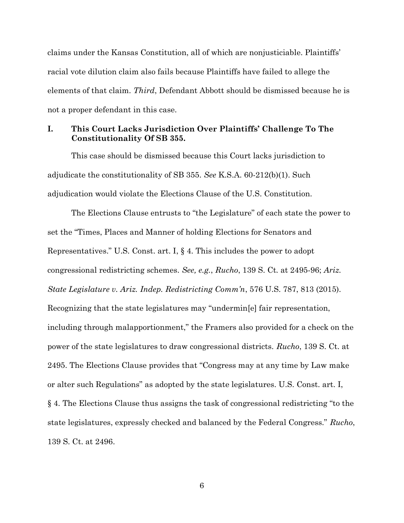claims under the Kansas Constitution, all of which are nonjusticiable. Plaintiffs' racial vote dilution claim also fails because Plaintiffs have failed to allege the elements of that claim. Third, Defendant Abbott should be dismissed because he is not a proper defendant in this case.

### I. This Court Lacks Jurisdiction Over Plaintiffs' Challenge To The Constitutionality Of SB 355.

This case should be dismissed because this Court lacks jurisdiction to adjudicate the constitutionality of SB 355. See K.S.A. 60-212(b)(1). Such adjudication would violate the Elections Clause of the U.S. Constitution.

The Elections Clause entrusts to "the Legislature" of each state the power to set the "Times, Places and Manner of holding Elections for Senators and Representatives." U.S. Const. art. I, § 4. This includes the power to adopt congressional redistricting schemes. See, e.g., Rucho, 139 S. Ct. at 2495-96; Ariz. State Legislature v. Ariz. Indep. Redistricting Comm'n, 576 U.S. 787, 813 (2015). Recognizing that the state legislatures may "undermin[e] fair representation, including through malapportionment," the Framers also provided for a check on the power of the state legislatures to draw congressional districts. Rucho, 139 S. Ct. at 2495. The Elections Clause provides that "Congress may at any time by Law make or alter such Regulations" as adopted by the state legislatures. U.S. Const. art. I, § 4. The Elections Clause thus assigns the task of congressional redistricting "to the state legislatures, expressly checked and balanced by the Federal Congress." Rucho, 139 S. Ct. at 2496.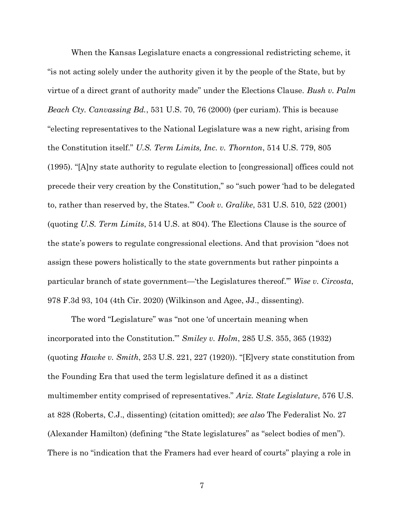When the Kansas Legislature enacts a congressional redistricting scheme, it "is not acting solely under the authority given it by the people of the State, but by virtue of a direct grant of authority made" under the Elections Clause. Bush v. Palm Beach Cty. Canvassing Bd., 531 U.S. 70, 76 (2000) (per curiam). This is because "electing representatives to the National Legislature was a new right, arising from the Constitution itself." U.S. Term Limits, Inc. v. Thornton, 514 U.S. 779, 805 (1995). "[A]ny state authority to regulate election to [congressional] offices could not precede their very creation by the Constitution," so "such power 'had to be delegated to, rather than reserved by, the States.'" Cook v. Gralike, 531 U.S. 510, 522 (2001) (quoting U.S. Term Limits, 514 U.S. at 804). The Elections Clause is the source of the state's powers to regulate congressional elections. And that provision "does not assign these powers holistically to the state governments but rather pinpoints a particular branch of state government—'the Legislatures thereof.'" Wise v. Circosta, 978 F.3d 93, 104 (4th Cir. 2020) (Wilkinson and Agee, JJ., dissenting).

The word "Legislature" was "not one 'of uncertain meaning when incorporated into the Constitution."' Smiley v. Holm, 285 U.S. 355, 365 (1932) (quoting Hawke v. Smith, 253 U.S. 221, 227 (1920)). "[E]very state constitution from the Founding Era that used the term legislature defined it as a distinct multimember entity comprised of representatives." Ariz. State Legislature, 576 U.S. at 828 (Roberts, C.J., dissenting) (citation omitted); see also The Federalist No. 27 (Alexander Hamilton) (defining "the State legislatures" as "select bodies of men"). There is no "indication that the Framers had ever heard of courts" playing a role in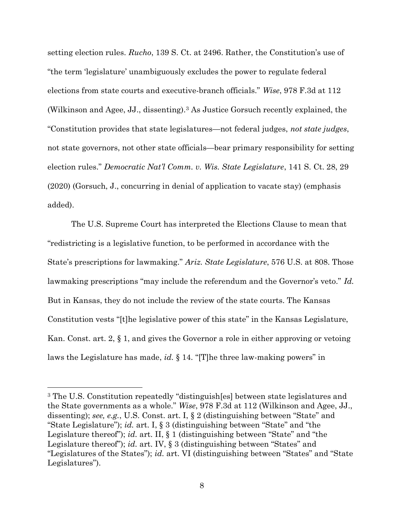setting election rules. Rucho, 139 S. Ct. at 2496. Rather, the Constitution's use of "the term 'legislature' unambiguously excludes the power to regulate federal elections from state courts and executive-branch officials." Wise, 978 F.3d at 112 (Wilkinson and Agee, JJ., dissenting).3 As Justice Gorsuch recently explained, the "Constitution provides that state legislatures—not federal judges, not state judges, not state governors, not other state officials—bear primary responsibility for setting election rules." Democratic Nat'l Comm. v. Wis. State Legislature, 141 S. Ct. 28, 29 (2020) (Gorsuch, J., concurring in denial of application to vacate stay) (emphasis added).

The U.S. Supreme Court has interpreted the Elections Clause to mean that "redistricting is a legislative function, to be performed in accordance with the State's prescriptions for lawmaking." Ariz. State Legislature, 576 U.S. at 808. Those lawmaking prescriptions "may include the referendum and the Governor's veto." Id. But in Kansas, they do not include the review of the state courts. The Kansas Constitution vests "[t]he legislative power of this state" in the Kansas Legislature, Kan. Const. art. 2, § 1, and gives the Governor a role in either approving or vetoing laws the Legislature has made, id. § 14. "[T]he three law-making powers" in

<sup>3</sup> The U.S. Constitution repeatedly "distinguish[es] between state legislatures and the State governments as a whole." Wise, 978 F.3d at 112 (Wilkinson and Agee, JJ., dissenting); see, e.g., U.S. Const. art. I, § 2 (distinguishing between "State" and "State Legislature"); *id.* art. I,  $\S$  3 (distinguishing between "State" and "the Legislature thereof"); id. art. II, § 1 (distinguishing between "State" and "the Legislature thereof"); *id.* art. IV, § 3 (distinguishing between "States" and "Legislatures of the States"); id. art. VI (distinguishing between "States" and "State Legislatures").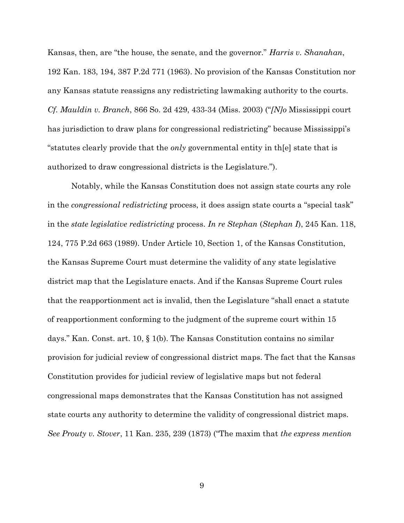Kansas, then, are "the house, the senate, and the governor." *Harris v. Shanahan*, 192 Kan. 183, 194, 387 P.2d 771 (1963). No provision of the Kansas Constitution nor any Kansas statute reassigns any redistricting lawmaking authority to the courts. Cf. Mauldin v. Branch, 866 So. 2d 429, 433-34 (Miss. 2003) ("No Mississippi court" has jurisdiction to draw plans for congressional redistricting" because Mississippi's "statutes clearly provide that the *only* governmental entity in the state that is authorized to draw congressional districts is the Legislature.").

Notably, while the Kansas Constitution does not assign state courts any role in the congressional redistricting process, it does assign state courts a "special task" in the state legislative redistricting process. In re Stephan (Stephan I), 245 Kan. 118, 124, 775 P.2d 663 (1989). Under Article 10, Section 1, of the Kansas Constitution, the Kansas Supreme Court must determine the validity of any state legislative district map that the Legislature enacts. And if the Kansas Supreme Court rules that the reapportionment act is invalid, then the Legislature "shall enact a statute of reapportionment conforming to the judgment of the supreme court within 15 days." Kan. Const. art. 10, § 1(b). The Kansas Constitution contains no similar provision for judicial review of congressional district maps. The fact that the Kansas Constitution provides for judicial review of legislative maps but not federal congressional maps demonstrates that the Kansas Constitution has not assigned state courts any authority to determine the validity of congressional district maps. See Prouty v. Stover, 11 Kan. 235, 239 (1873) ("The maxim that the express mention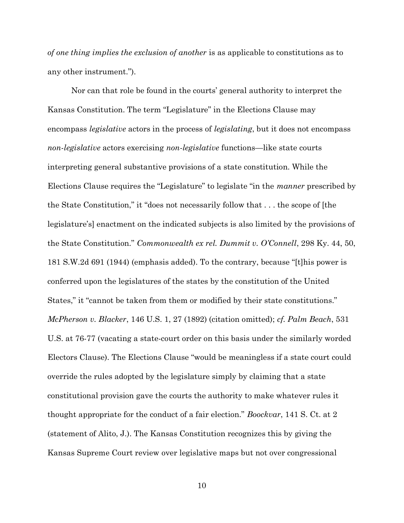of one thing implies the exclusion of another is as applicable to constitutions as to any other instrument.").

Nor can that role be found in the courts' general authority to interpret the Kansas Constitution. The term "Legislature" in the Elections Clause may encompass legislative actors in the process of legislating, but it does not encompass non-legislative actors exercising non-legislative functions—like state courts interpreting general substantive provisions of a state constitution. While the Elections Clause requires the "Legislature" to legislate "in the manner prescribed by the State Constitution," it "does not necessarily follow that . . . the scope of [the legislature's] enactment on the indicated subjects is also limited by the provisions of the State Constitution." Commonwealth ex rel. Dummit v. O'Connell, 298 Ky. 44, 50, 181 S.W.2d 691 (1944) (emphasis added). To the contrary, because "[t]his power is conferred upon the legislatures of the states by the constitution of the United States," it "cannot be taken from them or modified by their state constitutions." McPherson v. Blacker, 146 U.S. 1, 27 (1892) (citation omitted); cf. Palm Beach, 531 U.S. at 76-77 (vacating a state-court order on this basis under the similarly worded Electors Clause). The Elections Clause "would be meaningless if a state court could override the rules adopted by the legislature simply by claiming that a state constitutional provision gave the courts the authority to make whatever rules it thought appropriate for the conduct of a fair election." Boockvar, 141 S. Ct. at 2 (statement of Alito, J.). The Kansas Constitution recognizes this by giving the Kansas Supreme Court review over legislative maps but not over congressional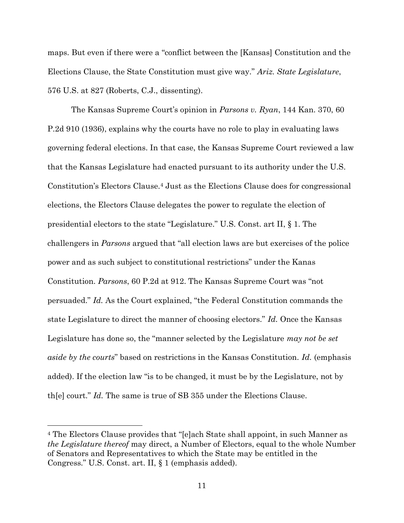maps. But even if there were a "conflict between the [Kansas] Constitution and the Elections Clause, the State Constitution must give way." Ariz. State Legislature, 576 U.S. at 827 (Roberts, C.J., dissenting).

The Kansas Supreme Court's opinion in Parsons v. Ryan, 144 Kan. 370, 60 P.2d 910 (1936), explains why the courts have no role to play in evaluating laws governing federal elections. In that case, the Kansas Supreme Court reviewed a law that the Kansas Legislature had enacted pursuant to its authority under the U.S. Constitution's Electors Clause.4 Just as the Elections Clause does for congressional elections, the Electors Clause delegates the power to regulate the election of presidential electors to the state "Legislature." U.S. Const. art II, § 1. The challengers in Parsons argued that "all election laws are but exercises of the police power and as such subject to constitutional restrictions" under the Kanas Constitution. Parsons, 60 P.2d at 912. The Kansas Supreme Court was "not persuaded." Id. As the Court explained, "the Federal Constitution commands the state Legislature to direct the manner of choosing electors." Id. Once the Kansas Legislature has done so, the "manner selected by the Legislature may not be set aside by the courts" based on restrictions in the Kansas Constitution. Id. (emphasis added). If the election law "is to be changed, it must be by the Legislature, not by th[e] court." Id. The same is true of SB 355 under the Elections Clause.

<sup>4</sup> The Electors Clause provides that "[e]ach State shall appoint, in such Manner as the Legislature thereof may direct, a Number of Electors, equal to the whole Number of Senators and Representatives to which the State may be entitled in the Congress." U.S. Const. art. II, § 1 (emphasis added).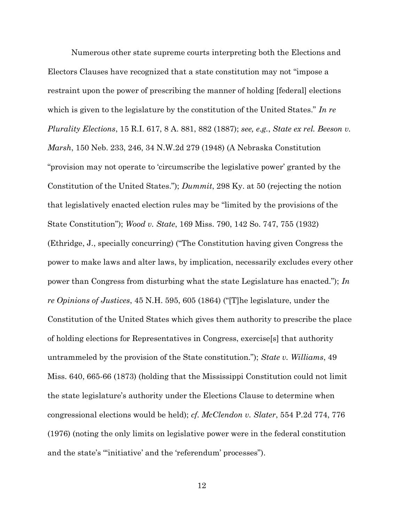Numerous other state supreme courts interpreting both the Elections and Electors Clauses have recognized that a state constitution may not "impose a restraint upon the power of prescribing the manner of holding [federal] elections which is given to the legislature by the constitution of the United States." In re Plurality Elections, 15 R.I. 617, 8 A. 881, 882 (1887); see, e.g., State ex rel. Beeson v. Marsh, 150 Neb. 233, 246, 34 N.W.2d 279 (1948) (A Nebraska Constitution "provision may not operate to 'circumscribe the legislative power' granted by the Constitution of the United States."); Dummit, 298 Ky. at 50 (rejecting the notion that legislatively enacted election rules may be "limited by the provisions of the State Constitution"); Wood v. State, 169 Miss. 790, 142 So. 747, 755 (1932) (Ethridge, J., specially concurring) ("The Constitution having given Congress the power to make laws and alter laws, by implication, necessarily excludes every other power than Congress from disturbing what the state Legislature has enacted."); In re Opinions of Justices, 45 N.H. 595, 605 (1864) ("[T]he legislature, under the Constitution of the United States which gives them authority to prescribe the place of holding elections for Representatives in Congress, exercise[s] that authority untrammeled by the provision of the State constitution."); State v. Williams, 49 Miss. 640, 665-66 (1873) (holding that the Mississippi Constitution could not limit the state legislature's authority under the Elections Clause to determine when congressional elections would be held); cf. McClendon v. Slater, 554 P.2d 774, 776 (1976) (noting the only limits on legislative power were in the federal constitution and the state's "'initiative' and the 'referendum' processes").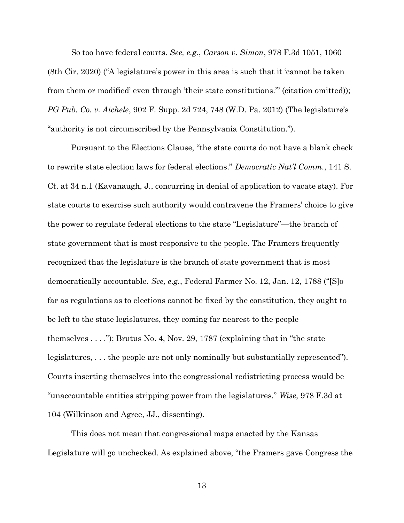So too have federal courts. See, e.g., Carson v. Simon, 978 F.3d 1051, 1060 (8th Cir. 2020) ("A legislature's power in this area is such that it 'cannot be taken from them or modified' even through 'their state constitutions.'" (citation omitted)); PG Pub. Co. v. Aichele, 902 F. Supp. 2d 724, 748 (W.D. Pa. 2012) (The legislature's "authority is not circumscribed by the Pennsylvania Constitution.").

Pursuant to the Elections Clause, "the state courts do not have a blank check to rewrite state election laws for federal elections." Democratic Nat'l Comm., 141 S. Ct. at 34 n.1 (Kavanaugh, J., concurring in denial of application to vacate stay). For state courts to exercise such authority would contravene the Framers' choice to give the power to regulate federal elections to the state "Legislature"—the branch of state government that is most responsive to the people. The Framers frequently recognized that the legislature is the branch of state government that is most democratically accountable. See, e.g., Federal Farmer No. 12, Jan. 12, 1788 ("[S]o far as regulations as to elections cannot be fixed by the constitution, they ought to be left to the state legislatures, they coming far nearest to the people themselves . . . ."); Brutus No. 4, Nov. 29, 1787 (explaining that in "the state legislatures, . . . the people are not only nominally but substantially represented"). Courts inserting themselves into the congressional redistricting process would be "unaccountable entities stripping power from the legislatures." Wise, 978 F.3d at 104 (Wilkinson and Agree, JJ., dissenting).

This does not mean that congressional maps enacted by the Kansas Legislature will go unchecked. As explained above, "the Framers gave Congress the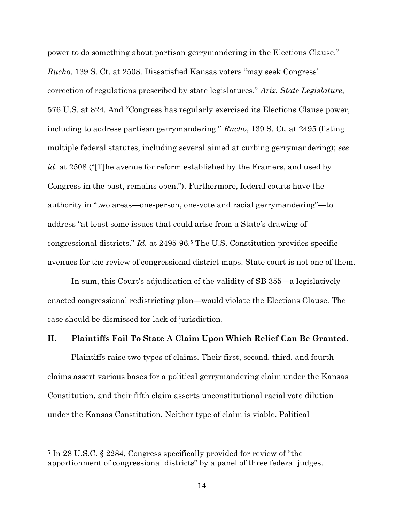power to do something about partisan gerrymandering in the Elections Clause." Rucho, 139 S. Ct. at 2508. Dissatisfied Kansas voters "may seek Congress' correction of regulations prescribed by state legislatures." Ariz. State Legislature, 576 U.S. at 824. And "Congress has regularly exercised its Elections Clause power, including to address partisan gerrymandering." Rucho, 139 S. Ct. at 2495 (listing multiple federal statutes, including several aimed at curbing gerrymandering); see id. at 2508 ("T]he avenue for reform established by the Framers, and used by Congress in the past, remains open."). Furthermore, federal courts have the authority in "two areas—one-person, one-vote and racial gerrymandering"—to address "at least some issues that could arise from a State's drawing of congressional districts." Id. at 2495-96.5 The U.S. Constitution provides specific avenues for the review of congressional district maps. State court is not one of them.

In sum, this Court's adjudication of the validity of SB 355—a legislatively enacted congressional redistricting plan—would violate the Elections Clause. The case should be dismissed for lack of jurisdiction.

### II. Plaintiffs Fail To State A Claim Upon Which Relief Can Be Granted.

Plaintiffs raise two types of claims. Their first, second, third, and fourth claims assert various bases for a political gerrymandering claim under the Kansas Constitution, and their fifth claim asserts unconstitutional racial vote dilution under the Kansas Constitution. Neither type of claim is viable. Political

<sup>5</sup> In 28 U.S.C. § 2284, Congress specifically provided for review of "the apportionment of congressional districts" by a panel of three federal judges.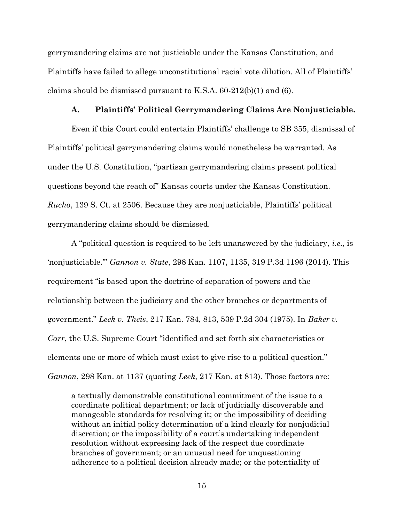gerrymandering claims are not justiciable under the Kansas Constitution, and Plaintiffs have failed to allege unconstitutional racial vote dilution. All of Plaintiffs' claims should be dismissed pursuant to K.S.A. 60-212(b)(1) and (6).

#### A. Plaintiffs' Political Gerrymandering Claims Are Nonjusticiable.

Even if this Court could entertain Plaintiffs' challenge to SB 355, dismissal of Plaintiffs' political gerrymandering claims would nonetheless be warranted. As under the U.S. Constitution, "partisan gerrymandering claims present political questions beyond the reach of" Kansas courts under the Kansas Constitution. Rucho, 139 S. Ct. at 2506. Because they are nonjusticiable, Plaintiffs' political gerrymandering claims should be dismissed.

A "political question is required to be left unanswered by the judiciary, i.e., is 'nonjusticiable.'" Gannon v. State, 298 Kan. 1107, 1135, 319 P.3d 1196 (2014). This requirement "is based upon the doctrine of separation of powers and the relationship between the judiciary and the other branches or departments of government." Leek v. Theis, 217 Kan. 784, 813, 539 P.2d 304 (1975). In Baker v. Carr, the U.S. Supreme Court "identified and set forth six characteristics or elements one or more of which must exist to give rise to a political question." Gannon, 298 Kan. at 1137 (quoting Leek, 217 Kan. at 813). Those factors are:

a textually demonstrable constitutional commitment of the issue to a coordinate political department; or lack of judicially discoverable and manageable standards for resolving it; or the impossibility of deciding without an initial policy determination of a kind clearly for nonjudicial discretion; or the impossibility of a court's undertaking independent resolution without expressing lack of the respect due coordinate branches of government; or an unusual need for unquestioning adherence to a political decision already made; or the potentiality of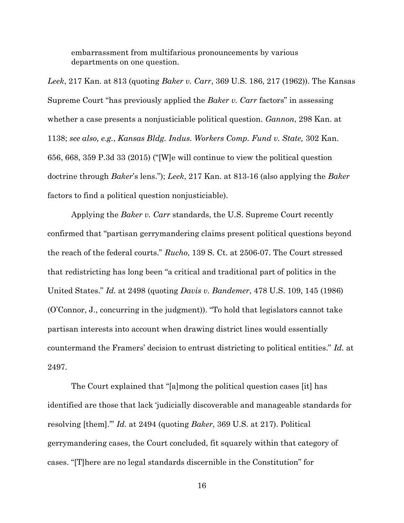embarrassment from multifarious pronouncements by various departments on one question.

Leek, 217 Kan. at 813 (quoting Baker v. Carr, 369 U.S. 186, 217 (1962)). The Kansas Supreme Court "has previously applied the Baker v. Carr factors" in assessing whether a case presents a nonjusticiable political question. *Gannon*, 298 Kan. at 1138; see also, e.g., Kansas Bldg. Indus. Workers Comp. Fund v. State, 302 Kan. 656, 668, 359 P.3d 33 (2015) ("[W]e will continue to view the political question doctrine through Baker's lens."); Leek, 217 Kan. at 813-16 (also applying the Baker factors to find a political question nonjusticiable).

Applying the *Baker v. Carr* standards, the U.S. Supreme Court recently confirmed that "partisan gerrymandering claims present political questions beyond the reach of the federal courts." Rucho, 139 S. Ct. at 2506-07. The Court stressed that redistricting has long been "a critical and traditional part of politics in the United States." Id. at 2498 (quoting Davis v. Bandemer, 478 U.S. 109, 145 (1986) (O'Connor, J., concurring in the judgment)). "To hold that legislators cannot take partisan interests into account when drawing district lines would essentially countermand the Framers' decision to entrust districting to political entities." Id. at 2497.

The Court explained that "[a]mong the political question cases [it] has identified are those that lack 'judicially discoverable and manageable standards for resolving [them].'" Id. at 2494 (quoting Baker, 369 U.S. at 217). Political gerrymandering cases, the Court concluded, fit squarely within that category of cases. "[T]here are no legal standards discernible in the Constitution" for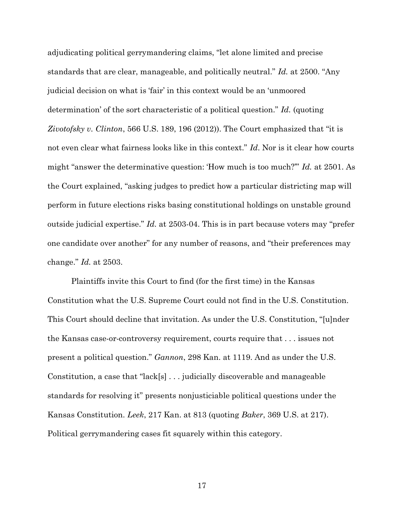adjudicating political gerrymandering claims, "let alone limited and precise standards that are clear, manageable, and politically neutral." Id. at 2500. "Any judicial decision on what is 'fair' in this context would be an 'unmoored determination' of the sort characteristic of a political question." Id. (quoting Zivotofsky v. Clinton, 566 U.S. 189, 196 (2012)). The Court emphasized that "it is not even clear what fairness looks like in this context." Id. Nor is it clear how courts might "answer the determinative question: 'How much is too much?'" Id. at 2501. As the Court explained, "asking judges to predict how a particular districting map will perform in future elections risks basing constitutional holdings on unstable ground outside judicial expertise." Id. at 2503-04. This is in part because voters may "prefer one candidate over another" for any number of reasons, and "their preferences may change." Id. at 2503.

Plaintiffs invite this Court to find (for the first time) in the Kansas Constitution what the U.S. Supreme Court could not find in the U.S. Constitution. This Court should decline that invitation. As under the U.S. Constitution, "[u]nder the Kansas case-or-controversy requirement, courts require that . . . issues not present a political question." Gannon, 298 Kan. at 1119. And as under the U.S. Constitution, a case that "lack[s] . . . judicially discoverable and manageable standards for resolving it" presents nonjusticiable political questions under the Kansas Constitution. Leek, 217 Kan. at 813 (quoting Baker, 369 U.S. at 217). Political gerrymandering cases fit squarely within this category.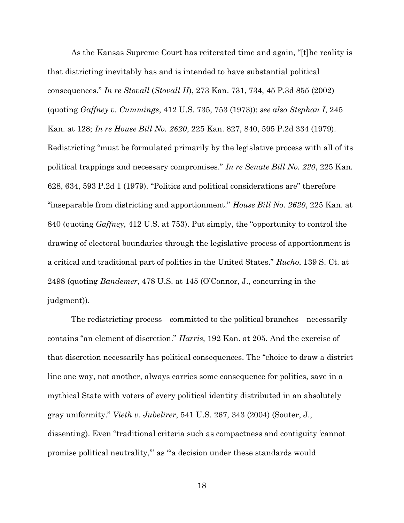As the Kansas Supreme Court has reiterated time and again, "[t]he reality is that districting inevitably has and is intended to have substantial political consequences." In re Stovall (Stovall II), 273 Kan. 731, 734, 45 P.3d 855 (2002) (quoting Gaffney v. Cummings, 412 U.S. 735, 753 (1973)); see also Stephan I, 245 Kan. at 128; In re House Bill No. 2620, 225 Kan. 827, 840, 595 P.2d 334 (1979). Redistricting "must be formulated primarily by the legislative process with all of its political trappings and necessary compromises." In re Senate Bill No. 220, 225 Kan. 628, 634, 593 P.2d 1 (1979). "Politics and political considerations are" therefore "inseparable from districting and apportionment." House Bill No. 2620, 225 Kan. at 840 (quoting Gaffney, 412 U.S. at 753). Put simply, the "opportunity to control the drawing of electoral boundaries through the legislative process of apportionment is a critical and traditional part of politics in the United States." Rucho, 139 S. Ct. at 2498 (quoting Bandemer, 478 U.S. at 145 (O'Connor, J., concurring in the judgment)).

The redistricting process—committed to the political branches—necessarily contains "an element of discretion." Harris, 192 Kan. at 205. And the exercise of that discretion necessarily has political consequences. The "choice to draw a district line one way, not another, always carries some consequence for politics, save in a mythical State with voters of every political identity distributed in an absolutely gray uniformity." *Vieth v. Jubelirer*, 541 U.S. 267, 343 (2004) (Souter, J., dissenting). Even "traditional criteria such as compactness and contiguity 'cannot promise political neutrality," as "a decision under these standards would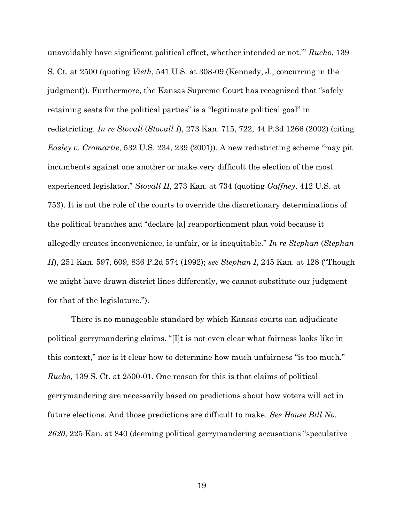unavoidably have significant political effect, whether intended or not." Rucho, 139 S. Ct. at 2500 (quoting Vieth, 541 U.S. at 308-09 (Kennedy, J., concurring in the judgment)). Furthermore, the Kansas Supreme Court has recognized that "safely retaining seats for the political parties" is a "legitimate political goal" in redistricting. In re Stovall (Stovall I), 273 Kan. 715, 722, 44 P.3d 1266 (2002) (citing Easley v. Cromartie, 532 U.S. 234, 239 (2001)). A new redistricting scheme "may pit incumbents against one another or make very difficult the election of the most experienced legislator." Stovall II, 273 Kan. at 734 (quoting Gaffney, 412 U.S. at 753). It is not the role of the courts to override the discretionary determinations of the political branches and "declare [a] reapportionment plan void because it allegedly creates inconvenience, is unfair, or is inequitable." In re Stephan (Stephan II), 251 Kan. 597, 609, 836 P.2d 574 (1992); see Stephan I, 245 Kan. at 128 ("Though we might have drawn district lines differently, we cannot substitute our judgment for that of the legislature.").

There is no manageable standard by which Kansas courts can adjudicate political gerrymandering claims. "[I]t is not even clear what fairness looks like in this context," nor is it clear how to determine how much unfairness "is too much." Rucho, 139 S. Ct. at 2500-01. One reason for this is that claims of political gerrymandering are necessarily based on predictions about how voters will act in future elections. And those predictions are difficult to make. See House Bill No. 2620, 225 Kan. at 840 (deeming political gerrymandering accusations "speculative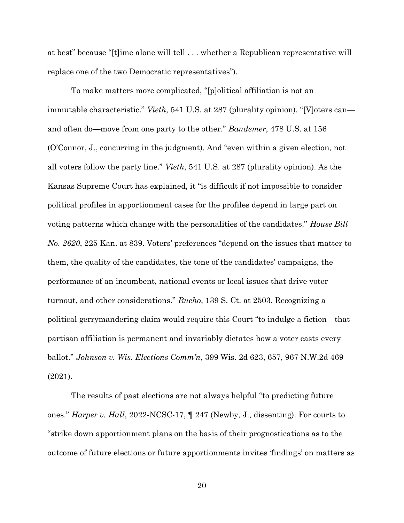at best" because "[t]ime alone will tell . . . whether a Republican representative will replace one of the two Democratic representatives").

To make matters more complicated, "[p]olitical affiliation is not an immutable characteristic." Vieth, 541 U.S. at 287 (plurality opinion). "[V]oters can and often do—move from one party to the other." Bandemer, 478 U.S. at 156 (O'Connor, J., concurring in the judgment). And "even within a given election, not all voters follow the party line." Vieth, 541 U.S. at 287 (plurality opinion). As the Kansas Supreme Court has explained, it "is difficult if not impossible to consider political profiles in apportionment cases for the profiles depend in large part on voting patterns which change with the personalities of the candidates." House Bill No. 2620, 225 Kan. at 839. Voters' preferences "depend on the issues that matter to them, the quality of the candidates, the tone of the candidates' campaigns, the performance of an incumbent, national events or local issues that drive voter turnout, and other considerations." Rucho, 139 S. Ct. at 2503. Recognizing a political gerrymandering claim would require this Court "to indulge a fiction—that partisan affiliation is permanent and invariably dictates how a voter casts every ballot." Johnson v. Wis. Elections Comm'n, 399 Wis. 2d 623, 657, 967 N.W.2d 469 (2021).

The results of past elections are not always helpful "to predicting future ones." Harper v. Hall, 2022-NCSC-17, ¶ 247 (Newby, J., dissenting). For courts to "strike down apportionment plans on the basis of their prognostications as to the outcome of future elections or future apportionments invites 'findings' on matters as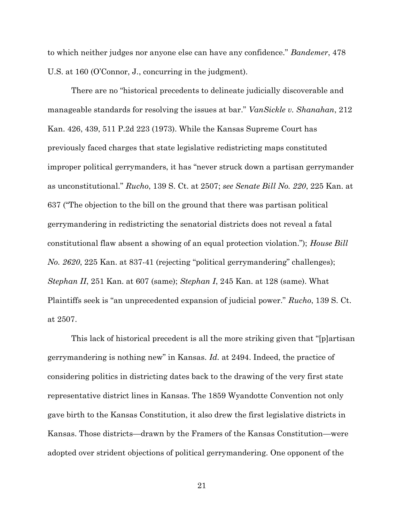to which neither judges nor anyone else can have any confidence." Bandemer, 478 U.S. at 160 (O'Connor, J., concurring in the judgment).

There are no "historical precedents to delineate judicially discoverable and manageable standards for resolving the issues at bar." VanSickle v. Shanahan, 212 Kan. 426, 439, 511 P.2d 223 (1973). While the Kansas Supreme Court has previously faced charges that state legislative redistricting maps constituted improper political gerrymanders, it has "never struck down a partisan gerrymander as unconstitutional." Rucho, 139 S. Ct. at 2507; see Senate Bill No. 220, 225 Kan. at 637 ("The objection to the bill on the ground that there was partisan political gerrymandering in redistricting the senatorial districts does not reveal a fatal constitutional flaw absent a showing of an equal protection violation."); House Bill No. 2620, 225 Kan. at 837-41 (rejecting "political gerrymandering" challenges); Stephan II, 251 Kan. at 607 (same); Stephan I, 245 Kan. at 128 (same). What Plaintiffs seek is "an unprecedented expansion of judicial power." Rucho, 139 S. Ct. at 2507.

This lack of historical precedent is all the more striking given that "[p]artisan gerrymandering is nothing new" in Kansas. Id. at 2494. Indeed, the practice of considering politics in districting dates back to the drawing of the very first state representative district lines in Kansas. The 1859 Wyandotte Convention not only gave birth to the Kansas Constitution, it also drew the first legislative districts in Kansas. Those districts—drawn by the Framers of the Kansas Constitution—were adopted over strident objections of political gerrymandering. One opponent of the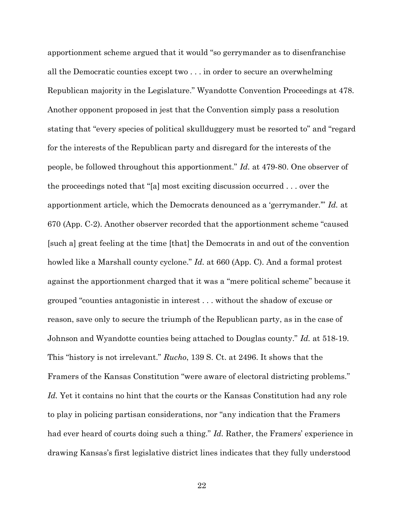apportionment scheme argued that it would "so gerrymander as to disenfranchise all the Democratic counties except two . . . in order to secure an overwhelming Republican majority in the Legislature." Wyandotte Convention Proceedings at 478. Another opponent proposed in jest that the Convention simply pass a resolution stating that "every species of political skullduggery must be resorted to" and "regard for the interests of the Republican party and disregard for the interests of the people, be followed throughout this apportionment." Id. at 479-80. One observer of the proceedings noted that "[a] most exciting discussion occurred . . . over the apportionment article, which the Democrats denounced as a 'gerrymander.'" Id. at 670 (App. C-2). Another observer recorded that the apportionment scheme "caused [such a] great feeling at the time [that] the Democrats in and out of the convention howled like a Marshall county cyclone." *Id.* at 660 (App. C). And a formal protest against the apportionment charged that it was a "mere political scheme" because it grouped "counties antagonistic in interest . . . without the shadow of excuse or reason, save only to secure the triumph of the Republican party, as in the case of Johnson and Wyandotte counties being attached to Douglas county." Id. at 518-19. This "history is not irrelevant." Rucho, 139 S. Ct. at 2496. It shows that the Framers of the Kansas Constitution "were aware of electoral districting problems." Id. Yet it contains no hint that the courts or the Kansas Constitution had any role to play in policing partisan considerations, nor "any indication that the Framers had ever heard of courts doing such a thing." Id. Rather, the Framers' experience in drawing Kansas's first legislative district lines indicates that they fully understood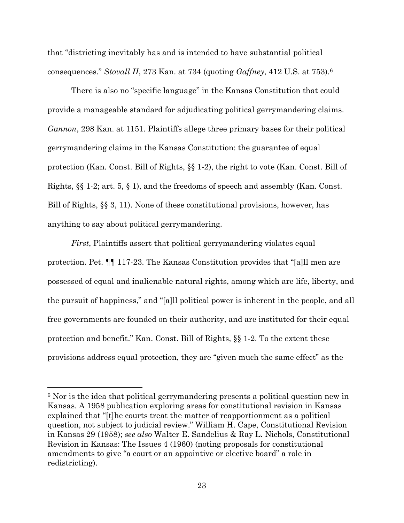that "districting inevitably has and is intended to have substantial political consequences." Stovall II, 273 Kan. at 734 (quoting Gaffney, 412 U.S. at 753).<sup>6</sup>

There is also no "specific language" in the Kansas Constitution that could provide a manageable standard for adjudicating political gerrymandering claims. Gannon, 298 Kan. at 1151. Plaintiffs allege three primary bases for their political gerrymandering claims in the Kansas Constitution: the guarantee of equal protection (Kan. Const. Bill of Rights, §§ 1-2), the right to vote (Kan. Const. Bill of Rights, §§ 1-2; art. 5, § 1), and the freedoms of speech and assembly (Kan. Const. Bill of Rights, §§ 3, 11). None of these constitutional provisions, however, has anything to say about political gerrymandering.

First, Plaintiffs assert that political gerrymandering violates equal protection. Pet. ¶¶ 117-23. The Kansas Constitution provides that "[a]ll men are possessed of equal and inalienable natural rights, among which are life, liberty, and the pursuit of happiness," and "[a]ll political power is inherent in the people, and all free governments are founded on their authority, and are instituted for their equal protection and benefit." Kan. Const. Bill of Rights, §§ 1-2. To the extent these provisions address equal protection, they are "given much the same effect" as the

<sup>6</sup> Nor is the idea that political gerrymandering presents a political question new in Kansas. A 1958 publication exploring areas for constitutional revision in Kansas explained that "[t]he courts treat the matter of reapportionment as a political question, not subject to judicial review." William H. Cape, Constitutional Revision in Kansas 29 (1958); see also Walter E. Sandelius & Ray L. Nichols, Constitutional Revision in Kansas: The Issues 4 (1960) (noting proposals for constitutional amendments to give "a court or an appointive or elective board" a role in redistricting).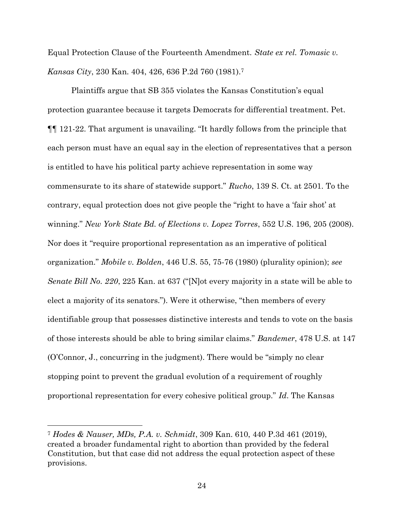Equal Protection Clause of the Fourteenth Amendment. State ex rel. Tomasic v. Kansas City, 230 Kan. 404, 426, 636 P.2d 760 (1981).<sup>7</sup>

Plaintiffs argue that SB 355 violates the Kansas Constitution's equal protection guarantee because it targets Democrats for differential treatment. Pet. ¶¶ 121-22. That argument is unavailing. "It hardly follows from the principle that each person must have an equal say in the election of representatives that a person is entitled to have his political party achieve representation in some way commensurate to its share of statewide support." Rucho, 139 S. Ct. at 2501. To the contrary, equal protection does not give people the "right to have a 'fair shot' at winning." New York State Bd. of Elections v. Lopez Torres, 552 U.S. 196, 205 (2008). Nor does it "require proportional representation as an imperative of political organization." Mobile v. Bolden, 446 U.S. 55, 75-76 (1980) (plurality opinion); see Senate Bill No. 220, 225 Kan. at 637 ("Not every majority in a state will be able to elect a majority of its senators."). Were it otherwise, "then members of every identifiable group that possesses distinctive interests and tends to vote on the basis of those interests should be able to bring similar claims." Bandemer, 478 U.S. at 147 (O'Connor, J., concurring in the judgment). There would be "simply no clear stopping point to prevent the gradual evolution of a requirement of roughly proportional representation for every cohesive political group." Id. The Kansas

<sup>7</sup> Hodes & Nauser, MDs, P.A. v. Schmidt, 309 Kan. 610, 440 P.3d 461 (2019), created a broader fundamental right to abortion than provided by the federal Constitution, but that case did not address the equal protection aspect of these provisions.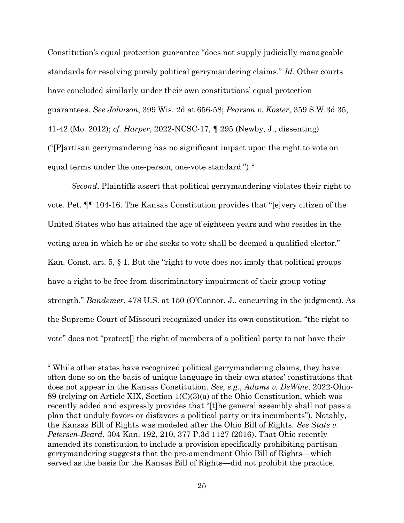Constitution's equal protection guarantee "does not supply judicially manageable standards for resolving purely political gerrymandering claims." Id. Other courts have concluded similarly under their own constitutions' equal protection guarantees. See Johnson, 399 Wis. 2d at 656-58; Pearson v. Koster, 359 S.W.3d 35, 41-42 (Mo. 2012); cf. Harper, 2022-NCSC-17, ¶ 295 (Newby, J., dissenting) ("[P]artisan gerrymandering has no significant impact upon the right to vote on equal terms under the one-person, one-vote standard.").<sup>8</sup>

Second, Plaintiffs assert that political gerrymandering violates their right to vote. Pet. ¶¶ 104-16. The Kansas Constitution provides that "[e]very citizen of the United States who has attained the age of eighteen years and who resides in the voting area in which he or she seeks to vote shall be deemed a qualified elector." Kan. Const. art. 5, § 1. But the "right to vote does not imply that political groups have a right to be free from discriminatory impairment of their group voting strength." Bandemer, 478 U.S. at 150 (O'Connor, J., concurring in the judgment). As the Supreme Court of Missouri recognized under its own constitution, "the right to vote" does not "protect[] the right of members of a political party to not have their

<sup>8</sup> While other states have recognized political gerrymandering claims, they have often done so on the basis of unique language in their own states' constitutions that does not appear in the Kansas Constitution. See, e.g., Adams v. DeWine, 2022-Ohio-89 (relying on Article XIX, Section 1(C)(3)(a) of the Ohio Constitution, which was recently added and expressly provides that "[t]he general assembly shall not pass a plan that unduly favors or disfavors a political party or its incumbents"). Notably, the Kansas Bill of Rights was modeled after the Ohio Bill of Rights. See State v. Petersen-Beard, 304 Kan. 192, 210, 377 P.3d 1127 (2016). That Ohio recently amended its constitution to include a provision specifically prohibiting partisan gerrymandering suggests that the pre-amendment Ohio Bill of Rights—which served as the basis for the Kansas Bill of Rights—did not prohibit the practice.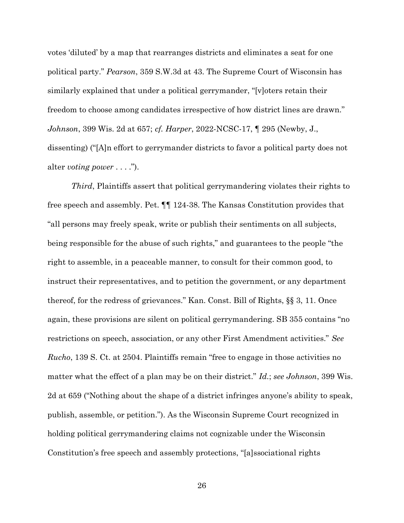votes 'diluted' by a map that rearranges districts and eliminates a seat for one political party." Pearson, 359 S.W.3d at 43. The Supreme Court of Wisconsin has similarly explained that under a political gerrymander, "[v]oters retain their freedom to choose among candidates irrespective of how district lines are drawn." Johnson, 399 Wis. 2d at 657; cf. Harper, 2022-NCSC-17, ¶ 295 (Newby, J., dissenting) ("[A]n effort to gerrymander districts to favor a political party does not alter voting power  $\dots$ .").

Third, Plaintiffs assert that political gerrymandering violates their rights to free speech and assembly. Pet. ¶¶ 124-38. The Kansas Constitution provides that "all persons may freely speak, write or publish their sentiments on all subjects, being responsible for the abuse of such rights," and guarantees to the people "the right to assemble, in a peaceable manner, to consult for their common good, to instruct their representatives, and to petition the government, or any department thereof, for the redress of grievances." Kan. Const. Bill of Rights, §§ 3, 11. Once again, these provisions are silent on political gerrymandering. SB 355 contains "no restrictions on speech, association, or any other First Amendment activities." See Rucho, 139 S. Ct. at 2504. Plaintiffs remain "free to engage in those activities no matter what the effect of a plan may be on their district." Id.; see Johnson, 399 Wis. 2d at 659 ("Nothing about the shape of a district infringes anyone's ability to speak, publish, assemble, or petition."). As the Wisconsin Supreme Court recognized in holding political gerrymandering claims not cognizable under the Wisconsin Constitution's free speech and assembly protections, "[a]ssociational rights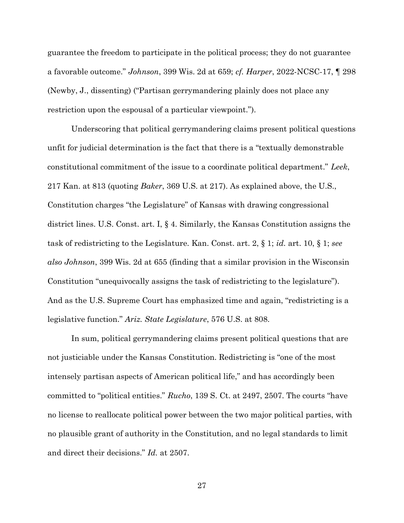guarantee the freedom to participate in the political process; they do not guarantee a favorable outcome." Johnson, 399 Wis. 2d at 659; cf. Harper, 2022-NCSC-17, ¶ 298 (Newby, J., dissenting) ("Partisan gerrymandering plainly does not place any restriction upon the espousal of a particular viewpoint.").

Underscoring that political gerrymandering claims present political questions unfit for judicial determination is the fact that there is a "textually demonstrable constitutional commitment of the issue to a coordinate political department." Leek, 217 Kan. at 813 (quoting *Baker*, 369 U.S. at 217). As explained above, the U.S., Constitution charges "the Legislature" of Kansas with drawing congressional district lines. U.S. Const. art. I, § 4. Similarly, the Kansas Constitution assigns the task of redistricting to the Legislature. Kan. Const. art. 2, § 1; id. art. 10, § 1; see also Johnson, 399 Wis. 2d at 655 (finding that a similar provision in the Wisconsin Constitution "unequivocally assigns the task of redistricting to the legislature"). And as the U.S. Supreme Court has emphasized time and again, "redistricting is a legislative function." Ariz. State Legislature, 576 U.S. at 808.

In sum, political gerrymandering claims present political questions that are not justiciable under the Kansas Constitution. Redistricting is "one of the most intensely partisan aspects of American political life," and has accordingly been committed to "political entities." Rucho, 139 S. Ct. at 2497, 2507. The courts "have no license to reallocate political power between the two major political parties, with no plausible grant of authority in the Constitution, and no legal standards to limit and direct their decisions." Id. at 2507.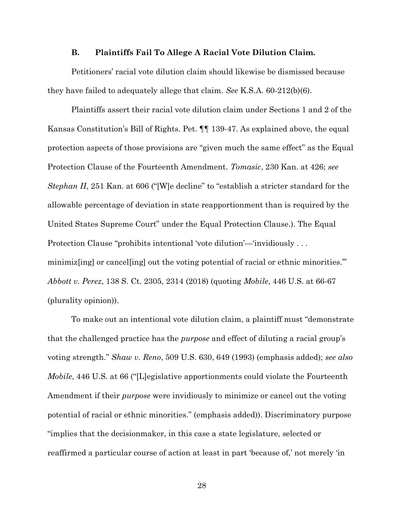#### B. Plaintiffs Fail To Allege A Racial Vote Dilution Claim.

Petitioners' racial vote dilution claim should likewise be dismissed because they have failed to adequately allege that claim. See K.S.A.  $60-212(b)(6)$ .

Plaintiffs assert their racial vote dilution claim under Sections 1 and 2 of the Kansas Constitution's Bill of Rights. Pet. ¶¶ 139-47. As explained above, the equal protection aspects of those provisions are "given much the same effect" as the Equal Protection Clause of the Fourteenth Amendment. Tomasic, 230 Kan. at 426; see Stephan II, 251 Kan. at 606 ("[W]e decline" to "establish a stricter standard for the allowable percentage of deviation in state reapportionment than is required by the United States Supreme Court" under the Equal Protection Clause.). The Equal Protection Clause "prohibits intentional 'vote dilution'—'invidiously . . . minimiz [ing] or cancel [ing] out the voting potential of racial or ethnic minorities." Abbott v. Perez, 138 S. Ct. 2305, 2314 (2018) (quoting Mobile, 446 U.S. at 66-67 (plurality opinion)).

To make out an intentional vote dilution claim, a plaintiff must "demonstrate that the challenged practice has the purpose and effect of diluting a racial group's voting strength." Shaw v. Reno, 509 U.S. 630, 649 (1993) (emphasis added); see also Mobile, 446 U.S. at 66 ("[L]egislative apportionments could violate the Fourteenth Amendment if their *purpose* were invidiously to minimize or cancel out the voting potential of racial or ethnic minorities." (emphasis added)). Discriminatory purpose "implies that the decisionmaker, in this case a state legislature, selected or reaffirmed a particular course of action at least in part 'because of,' not merely 'in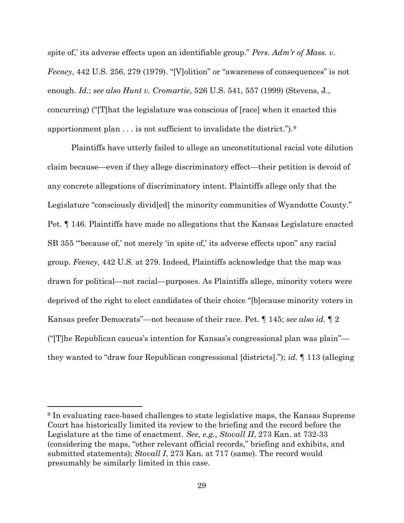spite of,' its adverse effects upon an identifiable group." Pers. Adm'r of Mass. v. Feeney, 442 U.S. 256, 279 (1979). "[V]olition" or "awareness of consequences" is not enough. Id.; see also Hunt v. Cromartie, 526 U.S. 541, 557 (1999) (Stevens, J., concurring) ("[T]hat the legislature was conscious of [race] when it enacted this apportionment plan  $\dots$  is not sufficient to invalidate the district.").<sup>9</sup>

Plaintiffs have utterly failed to allege an unconstitutional racial vote dilution claim because—even if they allege discriminatory effect—their petition is devoid of any concrete allegations of discriminatory intent. Plaintiffs allege only that the Legislature "consciously divid[ed] the minority communities of Wyandotte County." Pet. ¶ 146. Plaintiffs have made no allegations that the Kansas Legislature enacted SB 355 "'because of,' not merely 'in spite of,' its adverse effects upon" any racial group. Feeney, 442 U.S. at 279. Indeed, Plaintiffs acknowledge that the map was drawn for political—not racial—purposes. As Plaintiffs allege, minority voters were deprived of the right to elect candidates of their choice "[b]ecause minority voters in Kansas prefer Democrats"—not because of their race. Pet.  $\parallel$  145; see also id.  $\parallel$  2 ("[T]he Republican caucus's intention for Kansas's congressional plan was plain" they wanted to "draw four Republican congressional [districts]."); id. 113 (alleging

<sup>9</sup> In evaluating race-based challenges to state legislative maps, the Kansas Supreme Court has historically limited its review to the briefing and the record before the Legislature at the time of enactment. See, e.g., Stovall II, 273 Kan. at 732-33 (considering the maps, "other relevant official records," briefing and exhibits, and submitted statements); Stovall I, 273 Kan. at 717 (same). The record would presumably be similarly limited in this case.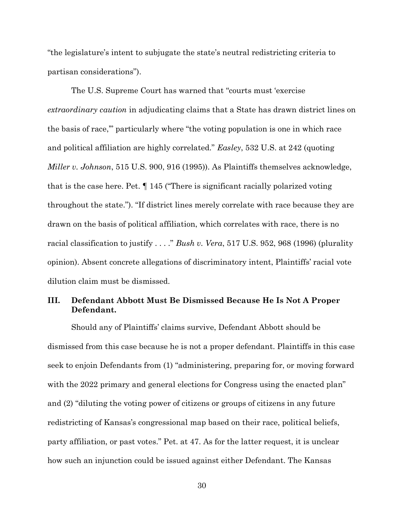"the legislature's intent to subjugate the state's neutral redistricting criteria to partisan considerations").

The U.S. Supreme Court has warned that "courts must 'exercise extraordinary caution in adjudicating claims that a State has drawn district lines on the basis of race,'" particularly where "the voting population is one in which race and political affiliation are highly correlated." Easley, 532 U.S. at 242 (quoting Miller v. Johnson, 515 U.S. 900, 916 (1995)). As Plaintiffs themselves acknowledge, that is the case here. Pet. ¶ 145 ("There is significant racially polarized voting throughout the state."). "If district lines merely correlate with race because they are drawn on the basis of political affiliation, which correlates with race, there is no racial classification to justify  $\ldots$ ." Bush v. Vera, 517 U.S. 952, 968 (1996) (plurality opinion). Absent concrete allegations of discriminatory intent, Plaintiffs' racial vote dilution claim must be dismissed.

### III. Defendant Abbott Must Be Dismissed Because He Is Not A Proper Defendant.

Should any of Plaintiffs' claims survive, Defendant Abbott should be dismissed from this case because he is not a proper defendant. Plaintiffs in this case seek to enjoin Defendants from (1) "administering, preparing for, or moving forward with the 2022 primary and general elections for Congress using the enacted plan" and (2) "diluting the voting power of citizens or groups of citizens in any future redistricting of Kansas's congressional map based on their race, political beliefs, party affiliation, or past votes." Pet. at 47. As for the latter request, it is unclear how such an injunction could be issued against either Defendant. The Kansas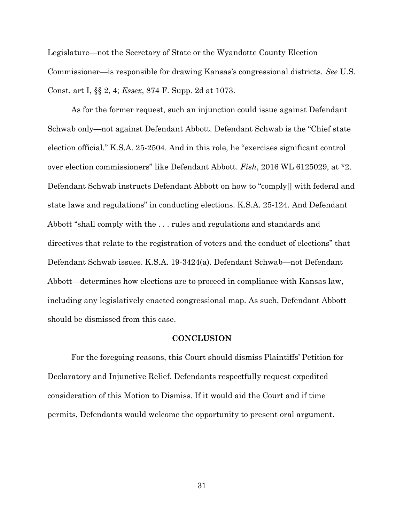Legislature—not the Secretary of State or the Wyandotte County Election Commissioner—is responsible for drawing Kansas's congressional districts. See U.S. Const. art I, §§ 2, 4; Essex, 874 F. Supp. 2d at 1073.

As for the former request, such an injunction could issue against Defendant Schwab only—not against Defendant Abbott. Defendant Schwab is the "Chief state election official." K.S.A. 25-2504. And in this role, he "exercises significant control over election commissioners" like Defendant Abbott. Fish, 2016 WL 6125029, at \*2. Defendant Schwab instructs Defendant Abbott on how to "comply[] with federal and state laws and regulations" in conducting elections. K.S.A. 25-124. And Defendant Abbott "shall comply with the . . . rules and regulations and standards and directives that relate to the registration of voters and the conduct of elections" that Defendant Schwab issues. K.S.A. 19-3424(a). Defendant Schwab—not Defendant Abbott—determines how elections are to proceed in compliance with Kansas law, including any legislatively enacted congressional map. As such, Defendant Abbott should be dismissed from this case.

#### **CONCLUSION**

For the foregoing reasons, this Court should dismiss Plaintiffs' Petition for Declaratory and Injunctive Relief. Defendants respectfully request expedited consideration of this Motion to Dismiss. If it would aid the Court and if time permits, Defendants would welcome the opportunity to present oral argument.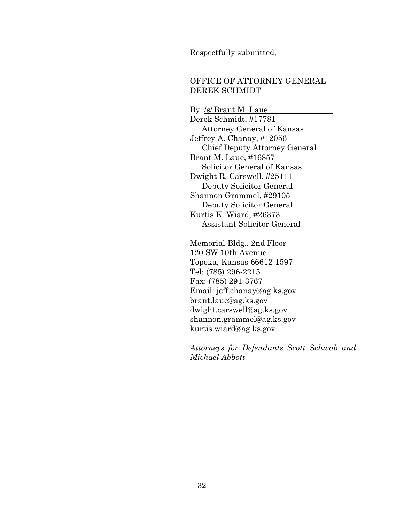Respectfully submitted,

## OFFICE OF ATTORNEY GENERAL DEREK SCHMIDT

By: /s/ Brant M. Laue Derek Schmidt, #17781 Attorney General of Kansas Jeffrey A. Chanay, #12056 Chief Deputy Attorney General Brant M. Laue, #16857 Solicitor General of Kansas Dwight R. Carswell, #25111 Deputy Solicitor General Shannon Grammel, #29105 Deputy Solicitor General Kurtis K. Wiard, #26373 Assistant Solicitor General

Memorial Bldg., 2nd Floor 120 SW 10th Avenue Topeka, Kansas 66612-1597 Tel: (785) 296-2215 Fax: (785) 291-3767 Email: jeff.chanay@ag.ks.gov brant.laue@ag.ks.gov dwight.carswell@ag.ks.gov shannon.grammel@ag.ks.gov kurtis.wiard@ag.ks.gov

Attorneys for Defendants Scott Schwab and Michael Abbott